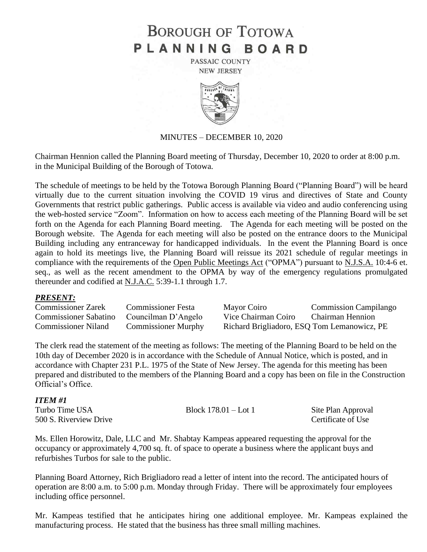# **BOROUGH OF TOTOWA** PLANNING BOARD

PASSAIC COUNTY **NEW JERSEY** 



#### MINUTES – DECEMBER 10, 2020

Chairman Hennion called the Planning Board meeting of Thursday, December 10, 2020 to order at 8:00 p.m. in the Municipal Building of the Borough of Totowa.

The schedule of meetings to be held by the Totowa Borough Planning Board ("Planning Board") will be heard virtually due to the current situation involving the COVID 19 virus and directives of State and County Governments that restrict public gatherings. Public access is available via video and audio conferencing using the web-hosted service "Zoom". Information on how to access each meeting of the Planning Board will be set forth on the Agenda for each Planning Board meeting. The Agenda for each meeting will be posted on the Borough website. The Agenda for each meeting will also be posted on the entrance doors to the Municipal Building including any entranceway for handicapped individuals. In the event the Planning Board is once again to hold its meetings live, the Planning Board will reissue its 2021 schedule of regular meetings in compliance with the requirements of the Open Public Meetings Act ("OPMA") pursuant to N.J.S.A. 10:4-6 et. seq., as well as the recent amendment to the OPMA by way of the emergency regulations promulgated thereunder and codified at N.J.A.C. 5:39-1.1 through 1.7.

#### *PRESENT:*

| Commissioner Zarek           | <b>Commissioner Festa</b>  | Mayor Coiro                                 | <b>Commission Campilango</b> |
|------------------------------|----------------------------|---------------------------------------------|------------------------------|
| <b>Commissioner Sabatino</b> | Councilman D'Angelo        | Vice Chairman Coiro                         | Chairman Hennion             |
| <b>Commissioner Niland</b>   | <b>Commissioner Murphy</b> | Richard Brigliadoro, ESQ Tom Lemanowicz, PE |                              |

The clerk read the statement of the meeting as follows: The meeting of the Planning Board to be held on the 10th day of December 2020 is in accordance with the Schedule of Annual Notice, which is posted, and in accordance with Chapter 231 P.L. 1975 of the State of New Jersey. The agenda for this meeting has been prepared and distributed to the members of the Planning Board and a copy has been on file in the Construction Official's Office.

| <b>ITEM#1</b>          |                        |                    |
|------------------------|------------------------|--------------------|
| Turbo Time USA         | Block $178.01 -$ Lot 1 | Site Plan Approval |
| 500 S. Riverview Drive |                        | Certificate of Use |

Ms. Ellen Horowitz, Dale, LLC and Mr. Shabtay Kampeas appeared requesting the approval for the occupancy or approximately 4,700 sq. ft. of space to operate a business where the applicant buys and refurbishes Turbos for sale to the public.

Planning Board Attorney, Rich Brigliadoro read a letter of intent into the record. The anticipated hours of operation are 8:00 a.m. to 5:00 p.m. Monday through Friday. There will be approximately four employees including office personnel.

Mr. Kampeas testified that he anticipates hiring one additional employee. Mr. Kampeas explained the manufacturing process. He stated that the business has three small milling machines.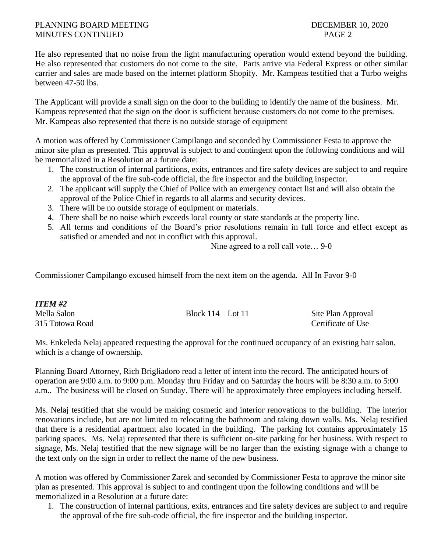### PLANNING BOARD MEETING **DECEMBER 10, 2020** MINUTES CONTINUED PAGE 2

He also represented that no noise from the light manufacturing operation would extend beyond the building. He also represented that customers do not come to the site. Parts arrive via Federal Express or other similar carrier and sales are made based on the internet platform Shopify. Mr. Kampeas testified that a Turbo weighs between 47-50 lbs.

The Applicant will provide a small sign on the door to the building to identify the name of the business. Mr. Kampeas represented that the sign on the door is sufficient because customers do not come to the premises. Mr. Kampeas also represented that there is no outside storage of equipment

A motion was offered by Commissioner Campilango and seconded by Commissioner Festa to approve the minor site plan as presented. This approval is subject to and contingent upon the following conditions and will be memorialized in a Resolution at a future date:

- 1. The construction of internal partitions, exits, entrances and fire safety devices are subject to and require the approval of the fire sub-code official, the fire inspector and the building inspector.
- 2. The applicant will supply the Chief of Police with an emergency contact list and will also obtain the approval of the Police Chief in regards to all alarms and security devices.
- 3. There will be no outside storage of equipment or materials.
- 4. There shall be no noise which exceeds local county or state standards at the property line.
- 5. All terms and conditions of the Board's prior resolutions remain in full force and effect except as satisfied or amended and not in conflict with this approval.

Nine agreed to a roll call vote… 9-0

Commissioner Campilango excused himself from the next item on the agenda. All In Favor 9-0

| <b>ITEM #2</b>  |                        |                    |
|-----------------|------------------------|--------------------|
| Mella Salon     | Block $114 -$ Lot $11$ | Site Plan Approval |
| 315 Totowa Road |                        | Certificate of Use |

Ms. Enkeleda Nelaj appeared requesting the approval for the continued occupancy of an existing hair salon, which is a change of ownership.

Planning Board Attorney, Rich Brigliadoro read a letter of intent into the record. The anticipated hours of operation are 9:00 a.m. to 9:00 p.m. Monday thru Friday and on Saturday the hours will be 8:30 a.m. to 5:00 a.m.. The business will be closed on Sunday. There will be approximately three employees including herself.

Ms. Nelaj testified that she would be making cosmetic and interior renovations to the building. The interior renovations include, but are not limited to relocating the bathroom and taking down walls. Ms. Nelaj testified that there is a residential apartment also located in the building. The parking lot contains approximately 15 parking spaces. Ms. Nelaj represented that there is sufficient on-site parking for her business. With respect to signage, Ms. Nelaj testified that the new signage will be no larger than the existing signage with a change to the text only on the sign in order to reflect the name of the new business.

A motion was offered by Commissioner Zarek and seconded by Commissioner Festa to approve the minor site plan as presented. This approval is subject to and contingent upon the following conditions and will be memorialized in a Resolution at a future date:

1. The construction of internal partitions, exits, entrances and fire safety devices are subject to and require the approval of the fire sub-code official, the fire inspector and the building inspector.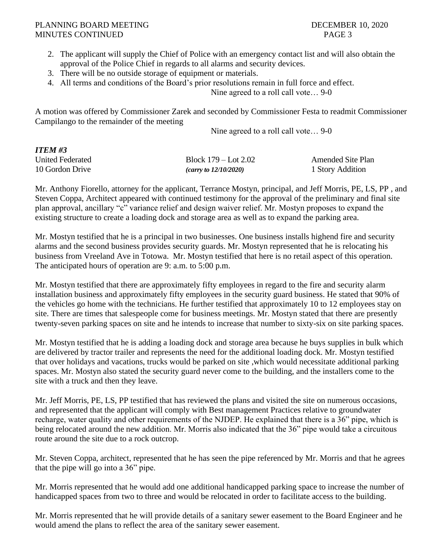#### PLANNING BOARD MEETING **DECEMBER 10, 2020** MINUTES CONTINUED PAGE 3

- 2. The applicant will supply the Chief of Police with an emergency contact list and will also obtain the approval of the Police Chief in regards to all alarms and security devices.
- 3. There will be no outside storage of equipment or materials.
- 4. All terms and conditions of the Board's prior resolutions remain in full force and effect.

Nine agreed to a roll call vote… 9-0

A motion was offered by Commissioner Zarek and seconded by Commissioner Festa to readmit Commissioner Campilango to the remainder of the meeting

Nine agreed to a roll call vote… 9-0

| <b>ITEM#3</b>    |                          |                          |
|------------------|--------------------------|--------------------------|
| United Federated | Block $179 -$ Lot $2.02$ | <b>Amended Site Plan</b> |
| 10 Gordon Drive  | (carry to $12/10/2020$ ) | 1 Story Addition         |

Mr. Anthony Fiorello, attorney for the applicant, Terrance Mostyn, principal, and Jeff Morris, PE, LS, PP , and Steven Coppa, Architect appeared with continued testimony for the approval of the preliminary and final site plan approval, ancillary "c" variance relief and design waiver relief. Mr. Mostyn proposes to expand the existing structure to create a loading dock and storage area as well as to expand the parking area.

Mr. Mostyn testified that he is a principal in two businesses. One business installs highend fire and security alarms and the second business provides security guards. Mr. Mostyn represented that he is relocating his business from Vreeland Ave in Totowa. Mr. Mostyn testified that here is no retail aspect of this operation. The anticipated hours of operation are 9: a.m. to 5:00 p.m.

Mr. Mostyn testified that there are approximately fifty employees in regard to the fire and security alarm installation business and approximately fifty employees in the security guard business. He stated that 90% of the vehicles go home with the technicians. He further testified that approximately 10 to 12 employees stay on site. There are times that salespeople come for business meetings. Mr. Mostyn stated that there are presently twenty-seven parking spaces on site and he intends to increase that number to sixty-six on site parking spaces.

Mr. Mostyn testified that he is adding a loading dock and storage area because he buys supplies in bulk which are delivered by tractor trailer and represents the need for the additional loading dock. Mr. Mostyn testified that over holidays and vacations, trucks would be parked on site ,which would necessitate additional parking spaces. Mr. Mostyn also stated the security guard never come to the building, and the installers come to the site with a truck and then they leave.

Mr. Jeff Morris, PE, LS, PP testified that has reviewed the plans and visited the site on numerous occasions, and represented that the applicant will comply with Best management Practices relative to groundwater recharge, water quality and other requirements of the NJDEP. He explained that there is a 36" pipe, which is being relocated around the new addition. Mr. Morris also indicated that the 36" pipe would take a circuitous route around the site due to a rock outcrop.

Mr. Steven Coppa, architect, represented that he has seen the pipe referenced by Mr. Morris and that he agrees that the pipe will go into a 36" pipe.

Mr. Morris represented that he would add one additional handicapped parking space to increase the number of handicapped spaces from two to three and would be relocated in order to facilitate access to the building.

Mr. Morris represented that he will provide details of a sanitary sewer easement to the Board Engineer and he would amend the plans to reflect the area of the sanitary sewer easement.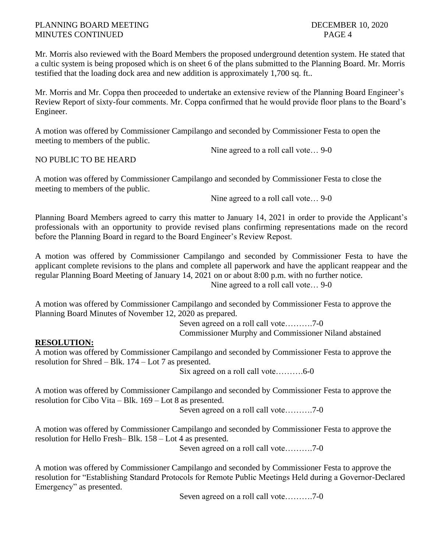Mr. Morris also reviewed with the Board Members the proposed underground detention system. He stated that a cultic system is being proposed which is on sheet 6 of the plans submitted to the Planning Board. Mr. Morris testified that the loading dock area and new addition is approximately 1,700 sq. ft..

Mr. Morris and Mr. Coppa then proceeded to undertake an extensive review of the Planning Board Engineer's Review Report of sixty-four comments. Mr. Coppa confirmed that he would provide floor plans to the Board's Engineer.

A motion was offered by Commissioner Campilango and seconded by Commissioner Festa to open the meeting to members of the public.

Nine agreed to a roll call vote… 9-0

## NO PUBLIC TO BE HEARD

A motion was offered by Commissioner Campilango and seconded by Commissioner Festa to close the meeting to members of the public.

Nine agreed to a roll call vote… 9-0

Planning Board Members agreed to carry this matter to January 14, 2021 in order to provide the Applicant's professionals with an opportunity to provide revised plans confirming representations made on the record before the Planning Board in regard to the Board Engineer's Review Repost.

A motion was offered by Commissioner Campilango and seconded by Commissioner Festa to have the applicant complete revisions to the plans and complete all paperwork and have the applicant reappear and the regular Planning Board Meeting of January 14, 2021 on or about 8:00 p.m. with no further notice. Nine agreed to a roll call vote… 9-0

A motion was offered by Commissioner Campilango and seconded by Commissioner Festa to approve the Planning Board Minutes of November 12, 2020 as prepared.

> Seven agreed on a roll call vote……….7-0 Commissioner Murphy and Commissioner Niland abstained

## **RESOLUTION:**

A motion was offered by Commissioner Campilango and seconded by Commissioner Festa to approve the resolution for Shred – Blk. 174 – Lot 7 as presented.

Six agreed on a roll call vote……….6-0

A motion was offered by Commissioner Campilango and seconded by Commissioner Festa to approve the resolution for Cibo Vita – Blk. 169 – Lot 8 as presented.

Seven agreed on a roll call vote……….7-0

A motion was offered by Commissioner Campilango and seconded by Commissioner Festa to approve the resolution for Hello Fresh– Blk. 158 – Lot 4 as presented.

Seven agreed on a roll call vote……….7-0

A motion was offered by Commissioner Campilango and seconded by Commissioner Festa to approve the resolution for "Establishing Standard Protocols for Remote Public Meetings Held during a Governor-Declared Emergency" as presented.

Seven agreed on a roll call vote……….7-0